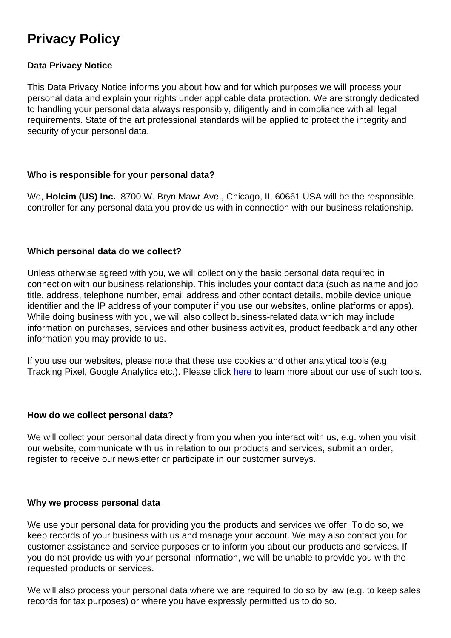# **Privacy Policy**

# **Data Privacy Notice**

This Data Privacy Notice informs you about how and for which purposes we will process your personal data and explain your rights under applicable data protection. We are strongly dedicated to handling your personal data always responsibly, diligently and in compliance with all legal requirements. State of the art professional standards will be applied to protect the integrity and security of your personal data.

## **Who is responsible for your personal data?**

We, **Holcim (US) Inc.**, 8700 W. Bryn Mawr Ave., Chicago, IL 60661 USA will be the responsible controller for any personal data you provide us with in connection with our business relationship.

#### **Which personal data do we collect?**

Unless otherwise agreed with you, we will collect only the basic personal data required in connection with our business relationship. This includes your contact data (such as name and job title, address, telephone number, email address and other contact details, mobile device unique identifier and the IP address of your computer if you use our websites, online platforms or apps). While doing business with you, we will also collect business-related data which may include information on purchases, services and other business activities, product feedback and any other information you may provide to us.

If you use our websites, please note that these use cookies and other analytical tools (e.g. Tracking Pixel, Google Analytics etc.). Please click [here](https://www.holcim.com/legal-mentions) to learn more about our use of such tools.

#### **How do we collect personal data?**

We will collect your personal data directly from you when you interact with us, e.g. when you visit our website, communicate with us in relation to our products and services, submit an order, register to receive our newsletter or participate in our customer surveys.

#### **Why we process personal data**

We use your personal data for providing you the products and services we offer. To do so, we keep records of your business with us and manage your account. We may also contact you for customer assistance and service purposes or to inform you about our products and services. If you do not provide us with your personal information, we will be unable to provide you with the requested products or services.

We will also process your personal data where we are required to do so by law (e.g. to keep sales records for tax purposes) or where you have expressly permitted us to do so.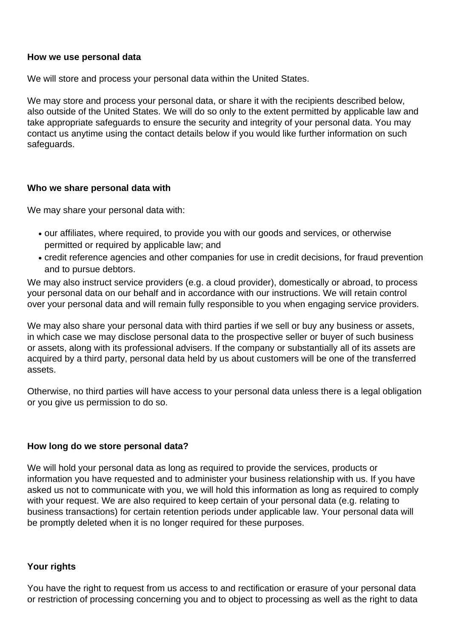## **How we use personal data**

We will store and process your personal data within the United States.

We may store and process your personal data, or share it with the recipients described below, also outside of the United States. We will do so only to the extent permitted by applicable law and take appropriate safeguards to ensure the security and integrity of your personal data. You may contact us anytime using the contact details below if you would like further information on such safeguards.

## **Who we share personal data with**

We may share your personal data with:

- our affiliates, where required, to provide you with our goods and services, or otherwise permitted or required by applicable law; and
- credit reference agencies and other companies for use in credit decisions, for fraud prevention and to pursue debtors.

We may also instruct service providers (e.g. a cloud provider), domestically or abroad, to process your personal data on our behalf and in accordance with our instructions. We will retain control over your personal data and will remain fully responsible to you when engaging service providers.

We may also share your personal data with third parties if we sell or buy any business or assets, in which case we may disclose personal data to the prospective seller or buyer of such business or assets, along with its professional advisers. If the company or substantially all of its assets are acquired by a third party, personal data held by us about customers will be one of the transferred assets.

Otherwise, no third parties will have access to your personal data unless there is a legal obligation or you give us permission to do so.

## **How long do we store personal data?**

We will hold your personal data as long as required to provide the services, products or information you have requested and to administer your business relationship with us. If you have asked us not to communicate with you, we will hold this information as long as required to comply with your request. We are also required to keep certain of your personal data (e.g. relating to business transactions) for certain retention periods under applicable law. Your personal data will be promptly deleted when it is no longer required for these purposes.

## **Your rights**

You have the right to request from us access to and rectification or erasure of your personal data or restriction of processing concerning you and to object to processing as well as the right to data